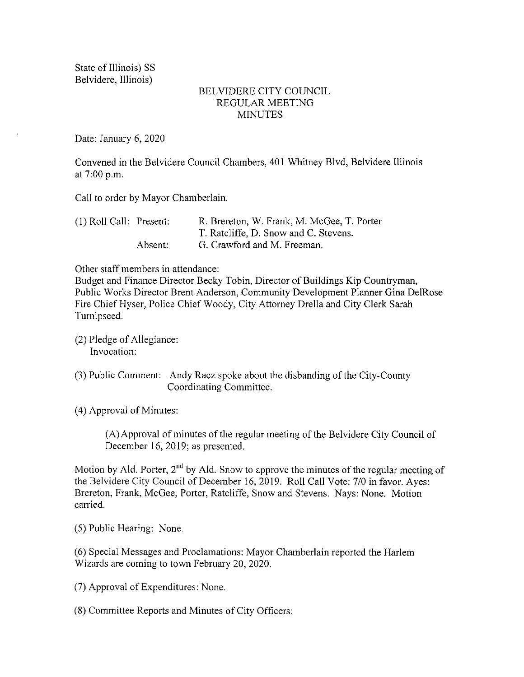State of Illinois) SS Belvidere, Illinois)

## BELVIDERE CITY COUNCIL REGULAR MEETING **MINUTES**

Date: January 6, 2020

Convened in the Belvidere Council Chambers, 401 Whitney Blvd, Belvidere Illinois at 7:00 p.m.

Call to order by Mayor Chamberlain.

| $(1)$ Roll Call: Present: |         | R. Brereton, W. Frank, M. McGee, T. Porter |
|---------------------------|---------|--------------------------------------------|
|                           |         | T. Ratcliffe, D. Snow and C. Stevens.      |
|                           | Absent: | G. Crawford and M. Freeman.                |

Other staff members in attendance:

Budget and Finance Director Becky Tobin, Director of Buildings Kip Countryman, Public Works Director Brent Anderson, Community Development Planner Gina DelRose Fire Chief Hyser, Police Chief Woody, City Attorney Drella and City Clerk Sarah Turnipseed.

2) Pledge of Allegiance: Invocation:

3) Public Comment: Andy Racz spoke about the disbanding of the City- County Coordinating Committee.

4) Approval of Minutes:

A) Approval of minutes of the regular meeting of the Belvidere City Council of December 16, 2019; as presented.

Motion by Ald. Porter,  $2<sup>nd</sup>$  by Ald. Snow to approve the minutes of the regular meeting of the Belvidere City Council of December 16, 2019. Roll Call Vote: 7/0 in favor. Ayes: Brereton, Frank, McGee, Porter, Ratcliffe, Snow and Stevens. Nays: None. Motion carried.

5) Public Hearing: None.

6) Special Messages and Proclamations: Mayor Chamberlain reported the Harlem Wizards are coming to town February 20, 2020.

7) Approval of Expenditures: None.

8) Committee Reports and Minutes of City Officers: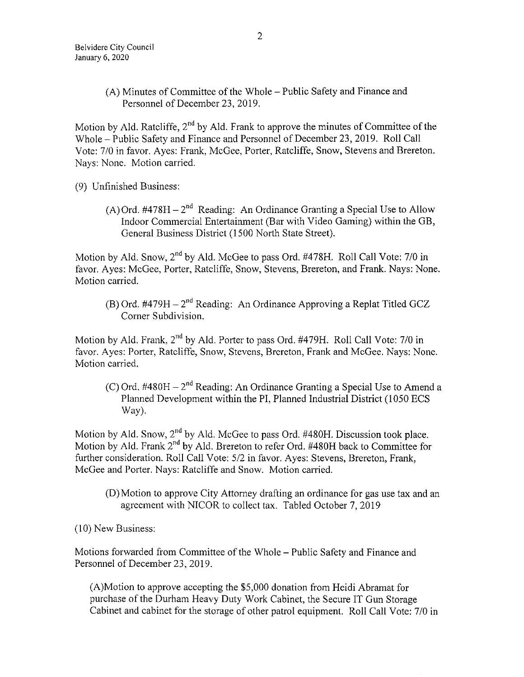A) Minutes of Committee of the Whole — Public Safety and Finance and Personnel of December 23, 2019.

Motion by Ald. Ratcliffe, 2<sup>nd</sup> by Ald. Frank to approve the minutes of Committee of the Whole— Public Safety and Finance and Personnel of December 23, 2019. Roll Call Vote: 7/0 in favor. Ayes: Frank, McGee, Porter, Ratcliffe, Snow, Stevens and Brereton. Nays: None. Motion carried.

9) Unfinished Business:

A) Ord.  $\#478H - 2^{nd}$  Reading: An Ordinance Granting a Special Use to Allow Indoor Commercial Entertainment( Bar with Video Gaming) within the GB, General Business District ( 1500 North State Street).

Motion by Ald. Snow, 2<sup>nd</sup> by Ald. McGee to pass Ord. #478H. Roll Call Vote: 7/0 in favor. Ayes: McGee, Porter, Ratcliffe, Snow, Stevens, Brereton, and Frank. Nays: None. Motion carried.

B) Ord. #479H – 2<sup>nd</sup> Reading: An Ordinance Approving a Replat Titled GCZ Corner Subdivision.

Motion by Ald. Frank,  $2<sup>nd</sup>$  by Ald. Porter to pass Ord. #479H. Roll Call Vote: 7/0 in favor. Ayes: Porter, Ratcliffe, Snow, Stevens, Brereton, Frank and McGee. Nays: None. Motion carried.

C) Ord.  $\#480H - 2^{nd}$  Reading: An Ordinance Granting a Special Use to Amend a Planned Development within the PI, Planned Industrial District (1050 ECS Way).

Motion by Ald. Snow,  $2<sup>nd</sup>$  by Ald. McGee to pass Ord. #480H. Discussion took place. Motion by Ald. Frank  $2<sup>nd</sup>$  by Ald. Brereton to refer Ord. #480H back to Committee for further consideration. Roll Call Vote: 5/2 in favor. Ayes: Stevens, Brereton, Frank, McGee and Porter. Nays: Ratcliffe and Snow. Motion carried.

- D) Motion to approve City Attorney drafting an ordinance for gas use tax and an agreement with NICOR to collect tax. Tabled October 7, 2019
- 10) New Business:

Motions forwarded from Committee of the Whole— Public Safety and Finance and Personnel of December 23, 2019.

A)Motion to approve accepting the \$ 5, 000 donation from Heidi Abramat for purchase of the Durham Heavy Duty Work Cabinet, the Secure IT Gun Storage Cabinet and cabinet for the storage of other patrol equipment. Roll Call Vote: 7/0 in